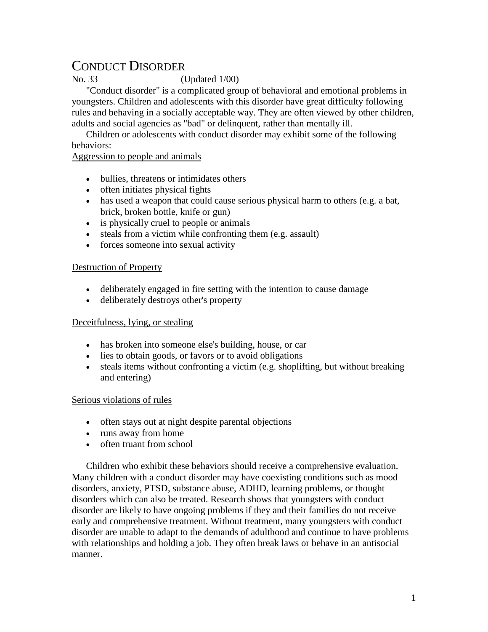# CONDUCT DISORDER

No. 33 (Updated 1/00)

"Conduct disorder" is a complicated group of behavioral and emotional problems in youngsters. Children and adolescents with this disorder have great difficulty following rules and behaving in a socially acceptable way. They are often viewed by other children, adults and social agencies as "bad" or delinquent, rather than mentally ill.

Children or adolescents with conduct disorder may exhibit some of the following behaviors:

### Aggression to people and animals

- bullies, threatens or intimidates others
- often initiates physical fights
- has used a weapon that could cause serious physical harm to others (e.g. a bat, brick, broken bottle, knife or gun)
- is physically cruel to people or animals
- steals from a victim while confronting them (e.g. assault)
- forces someone into sexual activity

## Destruction of Property

- deliberately engaged in fire setting with the intention to cause damage
- deliberately destroys other's property

## Deceitfulness, lying, or stealing

- has broken into someone else's building, house, or car
- lies to obtain goods, or favors or to avoid obligations
- steals items without confronting a victim (e.g. shoplifting, but without breaking and entering)

## Serious violations of rules

- often stays out at night despite parental objections
- runs away from home
- often truant from school

Children who exhibit these behaviors should receive a comprehensive evaluation. Many children with a conduct disorder may have coexisting conditions such as mood disorders, anxiety, PTSD, substance abuse, ADHD, learning problems, or thought disorders which can also be treated. Research shows that youngsters with conduct disorder are likely to have ongoing problems if they and their families do not receive early and comprehensive treatment. Without treatment, many youngsters with conduct disorder are unable to adapt to the demands of adulthood and continue to have problems with relationships and holding a job. They often break laws or behave in an antisocial manner.